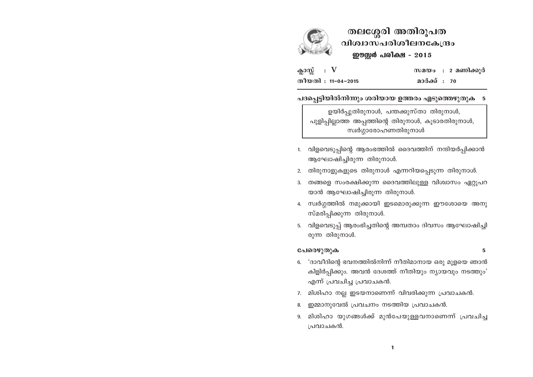

തലശ്ശേരി അതിരൂപത വിശ്വാസപരിശീലനകേന്ദ്രം ഈസ്റ്റർ പരിക്ഷ - 2015

സമയം : 2 മണിക്കൂർ

മാർക്ക് : 70

ക്ലാസ്സ് : V തീയതി: 11-04-2015

പദപ്പെട്ടിയിൽനിന്നും ശരിയായ ഉത്തരം എടുത്തെഴുതുക 5

ഉയിർപ്പുതിരുനാൾ, പന്തക്കുസ്താ തിരുനാൾ, പുളിപ്പില്ലാത്ത അപ്പത്തിന്റെ തിരുനാൾ, കൂടാരതിരുനാൾ, സ്വർഗ്ഗാരോഹണതിരുനാൾ

- 1. വിളവെടുപ്പിന്റെ ആരംഭത്തിൽ ദൈവത്തിന് നന്ദിയർപ്പിക്കാൻ ആഘോഷിച്ചിരുന്ന തിരുനാൾ.
- 2. തിരുനാളുകളുടെ തിരുനാൾ എന്നറിയപ്പെടുന്ന തിരുനാൾ.
- 3. തങ്ങളെ സംരക്ഷിക്കുന്ന ദൈവത്തിലുള്ള വിശ്വാസം ഏറ്റുപറ യാൻ ആഘോഷിച്ചിരുന്ന തിരുനാൾ.
- 4. സ്വർഗ്ഗത്തിൽ നമുക്കായി ഇടമൊരുക്കുന്ന ഈശോയെ അനു സ്മരിപ്പിക്കുന്ന തിരുനാൾ.
- 5. വിളവെടുപ്പ് ആരംഭിച്ചതിന്റെ അമ്പതാം ദിവസം ആഘോഷിച്ചി രുന്ന തിരുനാൾ.

# പേരെഴുതുക

5

- 6. 'ദാവീദിന്റെ ഭവനത്തിൽനിന്ന് നീതിമാനായ ഒരു മുളയെ ഞാൻ കിളിർപ്പിക്കും. അവൻ ദേശത്ത് നീതിയും ന്യായവും നടത്തും' എന്ന് പ്രവചിച്ച പ്രവാചകൻ.
- 7. മിശിഹാ നല്ല ഇടയനാണെന്ന് വിവരിക്കുന്ന പ്രവാചകൻ.
- ഇമ്മാനുവേൽ പ്രവചനം നടത്തിയ പ്രവാചകൻ.
- 9. മിശിഹാ യുഗങ്ങൾക്ക് മുൻപേയുള്ളവനാണെന്ന് പ്രവചിച്ച പ്രവാചകൻ.